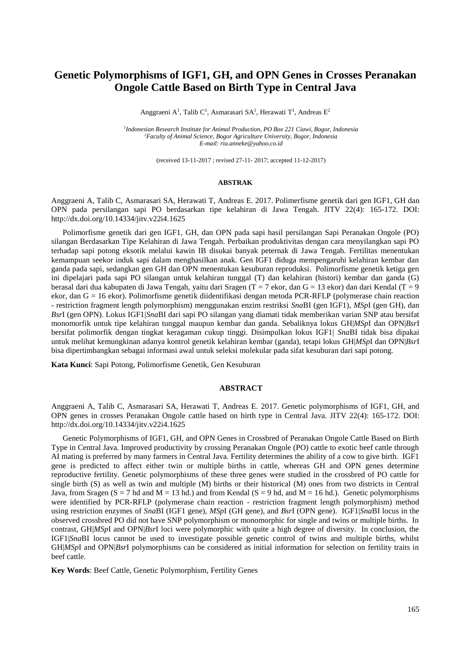# **Genetic Polymorphisms of IGF1, GH, and OPN Genes in Crosses Peranakan Ongole Cattle Based on Birth Type in Central Java**

Anggraeni A<sup>1</sup>, Talib C<sup>1</sup>, Asmarasari SA<sup>1</sup>, Herawati T<sup>1</sup>, Andreas E<sup>2</sup>

*1 Indonesian Research Institute for Animal Production, PO Box 221 Ciawi, Bogor, Indonesia <sup>2</sup>Faculty of Animal Science, Bogor Agriculture University, Bogor, Indonesia E-mail: [ria.anneke@yahoo.co.id](mailto:ria.anneke@yahoo.co.id)*

(received 13-11-2017 ; revised 27-11- 2017; accepted 11-12-2017)

#### **ABSTRAK**

Anggraeni A, Talib C, Asmarasari SA, Herawati T, Andreas E. 2017. Polimerfisme genetik dari gen IGF1, GH dan OPN pada persilangan sapi PO berdasarkan tipe kelahiran di Jawa Tengah. JITV 22(4): 165-172. DOI: http://dx.doi.org/10.14334/jitv.v22i4.1625

Polimorfisme genetik dari gen IGF1, GH, dan OPN pada sapi hasil persilangan Sapi Peranakan Ongole (PO) silangan Berdasarkan Tipe Kelahiran di Jawa Tengah. Perbaikan produktivitas dengan cara menyilangkan sapi PO terhadap sapi potong eksotik melalui kawin IB disukai banyak peternak di Jawa Tengah. Fertilitas menentukan kemampuan seekor induk sapi dalam menghasilkan anak. Gen IGF1 diduga mempengaruhi kelahiran kembar dan ganda pada sapi, sedangkan gen GH dan OPN menentukan kesuburan reproduksi. Polimorfisme genetik ketiga gen ini dipelajari pada sapi PO silangan untuk kelahiran tunggal (T) dan kelahiran (histori) kembar dan ganda (G) berasal dari dua kabupaten di Jawa Tengah, yaitu dari Sragen (T = 7 ekor, dan G = 13 ekor) dan dari Kendal (T = 9 ekor, dan G = 16 ekor). Polimorfisme genetik diidentifikasi dengan metoda PCR-RFLP (polymerase chain reaction - restriction fragment length polymorphism) menggunakan enzim restriksi *Sna*BI (gen IGF1), *MSp*I (gen GH), dan *Bsr*I (gen OPN). Lokus IGF1|*Sna*BI dari sapi PO silangan yang diamati tidak memberikan varian SNP atau bersifat monomorfik untuk tipe kelahiran tunggal maupun kembar dan ganda. Sebaliknya lokus GH|*MSp*I dan OPN|*Bsr*I bersifat polimorfik dengan tingkat keragaman cukup tinggi. Disimpulkan lokus IGF1| *Sna*BI tidak bisa dipakai untuk melihat kemungkinan adanya kontrol genetik kelahiran kembar (ganda), tetapi lokus GH|*MSp*I dan OPN|*Bsr*I bisa dipertimbangkan sebagai informasi awal untuk seleksi molekular pada sifat kesuburan dari sapi potong.

**Kata Kunci**: Sapi Potong, Polimorfisme Genetik, Gen Kesuburan

#### **ABSTRACT**

Anggraeni A, Talib C, Asmarasari SA, Herawati T, Andreas E. 2017. Genetic polymorphisms of IGF1, GH, and OPN genes in crosses Peranakan Ongole cattle based on birth type in Central Java. JITV 22(4): 165-172. DOI: http://dx.doi.org/10.14334/jitv.v22i4.1625

Genetic Polymorphisms of IGF1, GH, and OPN Genes in Crossbred of Peranakan Ongole Cattle Based on Birth Type in Central Java. Improved productivity by crossing Peranakan Ongole (PO) cattle to exotic beef cattle through AI mating is preferred by many farmers in Central Java. Fertility determines the ability of a cow to give birth. IGF1 gene is predicted to affect either twin or multiple births in cattle, whereas GH and OPN genes determine reproductive fertility. Genetic polymorphisms of these three genes were studied in the crossbred of PO cattle for single birth (S) as well as twin and multiple (M) births or their historical (M) ones from two districts in Central Java, from Sragen (S = 7 hd and M = 13 hd.) and from Kendal (S = 9 hd, and M = 16 hd.). Genetic polymorphisms were identified by PCR-RFLP (polymerase chain reaction - restriction fragment length polymorphism) method using restriction enzymes of *Sna*BI (IGF1 gene), *MSp*I (GH gene), and *Bsr*I (OPN gene). IGF1|*Sna*BI locus in the observed crossbred PO did not have SNP polymorphism or monomorphic for single and twins or multiple births. In contrast, GH|*MSp*I and OPN|*Bsr*I loci were polymorphic with quite a high degree of diversity. In conclusion, the IGF1|*Sna*BI locus cannot be used to investigate possible genetic control of twins and multiple births, whilst GH|*MSp*I and OPN|*Bsr*I polymorphisms can be considered as initial information for selection on fertility traits in beef cattle.

**Key Words**: Beef Cattle, Genetic Polymorphism, Fertility Genes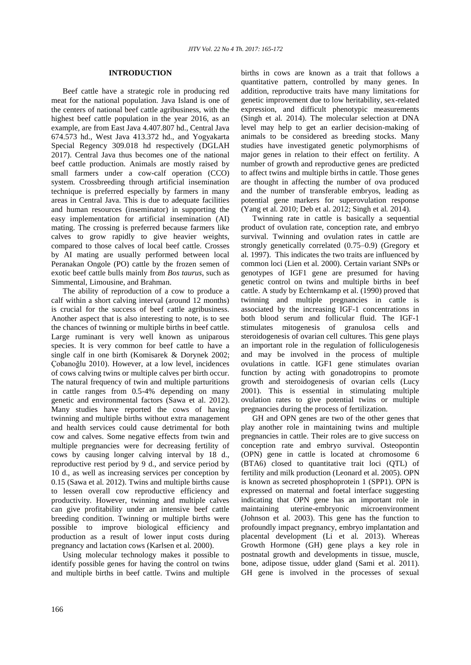## **INTRODUCTION**

Beef cattle have a strategic role in producing red meat for the national population. Java Island is one of the centers of national beef cattle agribusiness, with the highest beef cattle population in the year 2016, as an example, are from East Java 4.407.807 hd., Central Java 674.573 hd., West Java 413.372 hd., and Yogyakarta Special Regency 309.018 hd respectively (DGLAH 2017). Central Java thus becomes one of the national beef cattle production. Animals are mostly raised by small farmers under a cow-calf operation (CCO) system. Crossbreeding through artificial insemination technique is preferred especially by farmers in many areas in Central Java. This is due to adequate facilities and human resources (inseminator) in supporting the easy implementation for artificial insemination (AI) mating. The crossing is preferred because farmers like calves to grow rapidly to give heavier weights, compared to those calves of local beef cattle. Crosses by AI mating are usually performed between local Peranakan Ongole (PO) cattle by the frozen semen of exotic beef cattle bulls mainly from *Bos taurus*, such as Simmental, Limousine, and Brahman.

The ability of reproduction of a cow to produce a calf within a short calving interval (around 12 months) is crucial for the success of beef cattle agribusiness. Another aspect that is also interesting to note, is to see the chances of twinning or multiple births in beef cattle. Large ruminant is very well known as uniparous species. It is very common for beef cattle to have a single calf in one birth (Komisarek & Dorynek 2002; Çobanoğlu 2010). However, at a low level, incidences of cows calving twins or multiple calves per birth occur. The natural frequency of twin and multiple parturitions in cattle ranges from 0.5-4% depending on many genetic and environmental factors (Sawa et al. 2012). Many studies have reported the cows of having twinning and multiple births without extra management and health services could cause detrimental for both cow and calves. Some negative effects from twin and multiple pregnancies were for decreasing fertility of cows by causing longer calving interval by 18 d., reproductive rest period by 9 d., and service period by 10 d., as well as increasing services per conception by 0.15 (Sawa et al*.* 2012). Twins and multiple births cause to lessen overall cow reproductive efficiency and productivity. However, twinning and multiple calves can give profitability under an intensive beef cattle breeding condition. Twinning or multiple births were possible to improve biological efficiency and production as a result of lower input costs during pregnancy and lactation cows (Karlsen et al*.* 2000).

Using molecular technology makes it possible to identify possible genes for having the control on twins and multiple births in beef cattle. Twins and multiple births in cows are known as a trait that follows a quantitative pattern, controlled by many genes. In addition, reproductive traits have many limitations for genetic improvement due to low heritability, sex-related expression, and difficult phenotypic measurements (Singh et al*.* 2014). The molecular selection at DNA level may help to get an earlier decision-making of animals to be considered as breeding stocks. Many studies have investigated genetic polymorphisms of major genes in relation to their effect on fertility. A number of growth and reproductive genes are predicted to affect twins and multiple births in cattle. Those genes are thought in affecting the number of ova produced and the number of transferable embryos, leading as potential gene markers for superovulation response (Yang et al*.* 2010; Deb et al. 2012; Singh et al*.* 2014).

Twinning rate in cattle is basically a sequential product of ovulation rate, conception rate, and embryo survival. Twinning and ovulation rates in cattle are strongly genetically correlated (0.75–0.9) (Gregory et al*.* 1997). This indicates the two traits are influenced by common loci (Lien et al. 2000). Certain variant SNPs or genotypes of IGF1 gene are presumed for having genetic control on twins and multiple births in beef cattle. A study by Echternkamp et al. (1990) proved that twinning and multiple pregnancies in cattle is associated by the increasing IGF-1 concentrations in both blood serum and follicular fluid. The IGF-1 stimulates mitogenesis of granulosa cells and steroidogenesis of ovarian cell cultures. This gene plays an important role in the regulation of folliculogenesis and may be involved in the process of multiple ovulations in cattle. IGF1 gene stimulates ovarian function by acting with gonadotropins to promote growth and steroidogenesis of ovarian cells (Lucy 2001). This is essential in stimulating multiple ovulation rates to give potential twins or multiple pregnancies during the process of fertilization.

GH and OPN genes are two of the other genes that play another role in maintaining twins and multiple pregnancies in cattle. Their roles are to give success on conception rate and embryo survival. Osteopontin (OPN) gene in cattle is located at chromosome 6 (BTA6) closed to quantitative trait loci (QTL) of fertility and milk production (Leonard et al. 2005). OPN is known as secreted phosphoprotein 1 (SPP1). OPN is expressed on maternal and foetal interface suggesting indicating that OPN gene has an important role in maintaining uterine-embryonic microenvironment (Johnson et al*.* 2003). This gene has the function to profoundly impact pregnancy, embryo implantation and placental development (Li et al*.* 2013). Whereas Growth Hormone (GH) gene plays a key role in postnatal growth and developments in tissue, muscle, bone, adipose tissue, udder gland (Sami et al. 2011). GH gene is involved in the processes of sexual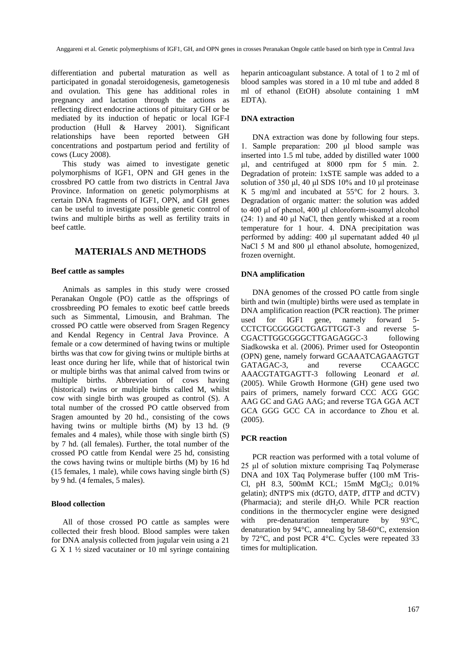differentiation and pubertal maturation as well as participated in gonadal steroidogenesis, gametogenesis and ovulation. This gene has additional roles in pregnancy and lactation through the actions as reflecting direct endocrine actions of pituitary GH or be mediated by its induction of hepatic or local IGF-I production (Hull & Harvey 2001). Significant relationships have been reported between GH concentrations and postpartum period and fertility of cows (Lucy 2008).

This study was aimed to investigate genetic polymorphisms of IGF1, OPN and GH genes in the crossbred PO cattle from two districts in Central Java Province. Information on genetic polymorphisms at certain DNA fragments of IGF1, OPN, and GH genes can be useful to investigate possible genetic control of twins and multiple births as well as fertility traits in beef cattle.

# **MATERIALS AND METHODS**

## **Beef cattle as samples**

Animals as samples in this study were crossed Peranakan Ongole (PO) cattle as the offsprings of crossbreeding PO females to exotic beef cattle breeds such as Simmental, Limousin, and Brahman. The crossed PO cattle were observed from Sragen Regency and Kendal Regency in Central Java Province. A female or a cow determined of having twins or multiple births was that cow for giving twins or multiple births at least once during her life, while that of historical twin or multiple births was that animal calved from twins or multiple births. Abbreviation of cows having (historical) twins or multiple births called M, whilst cow with single birth was grouped as control (S). A total number of the crossed PO cattle observed from Sragen amounted by 20 hd., consisting of the cows having twins or multiple births (M) by 13 hd. (9 females and 4 males), while those with single birth (S) by 7 hd. (all females). Further, the total number of the crossed PO cattle from Kendal were 25 hd, consisting the cows having twins or multiple births (M) by 16 hd (15 females, 1 male), while cows having single birth (S) by 9 hd. (4 females, 5 males).

## **Blood collection**

All of those crossed PO cattle as samples were collected their fresh blood. Blood samples were taken for DNA analysis collected from jugular vein using a 21 G X 1 ½ sized vacutainer or 10 ml syringe containing

heparin anticoagulant substance. A total of 1 to 2 ml of blood samples was stored in a 10 ml tube and added 8 ml of ethanol (EtOH) absolute containing 1 mM EDTA).

#### **DNA extraction**

DNA extraction was done by following four steps. 1. Sample preparation: 200 μl blood sample was inserted into 1.5 ml tube, added by distilled water 1000 μl, and centrifuged at 8000 rpm for 5 min. 2. Degradation of protein: 1xSTE sample was added to a solution of 350 μl, 40 μl SDS 10% and 10 μl proteinase K 5 mg/ml and incubated at 55°C for 2 hours. 3. Degradation of organic matter: the solution was added to 400 μl of phenol, 400 μl chloroform-isoamyl alcohol (24: 1) and 40 μl NaCl, then gently whisked at a room temperature for 1 hour. 4. DNA precipitation was performed by adding: 400 μl supernatant added 40 μl NaCl 5 M and 800 μl ethanol absolute, homogenized, frozen overnight.

#### **DNA amplification**

DNA genomes of the crossed PO cattle from single birth and twin (multiple) births were used as template in DNA amplification reaction (PCR reaction). The primer<br>used for IGF1 gene, namely forward 5used for IGF1 gene, namely forward 5- CCTCTGCGGGGCTGAGTTGGT-3 and reverse 5- CGACTTGGCGGGCTTGAGAGGC-3 following Siadkowska et al. (2006). Primer used for Osteopontin (OPN) gene, namely forward GCAAATCAGAAGTGT GATAGAC-3, and reverse CCAAGCC AAACGTATGAGTT-3 following Leonard *et al.* (2005). While Growth Hormone (GH) gene used two pairs of primers, namely forward CCC ACG GGC AAG GC and GAG AAG; and reverse TGA GGA ACT GCA GGG GCC CA in accordance to Zhou et al*.* (2005).

#### **PCR reaction**

PCR reaction was performed with a total volume of 25 μl of solution mixture comprising Taq Polymerase DNA and 10X Taq Polymerase buffer (100 mM Tris-Cl, pH 8.3, 500mM KCL; 15mM MgCl<sub>2</sub>; 0.01% gelatin); dNTP'S mix (dGTO, dATP, dTTP and dCTV) (Pharmacia); and sterile  $dH_2O$ . While PCR reaction conditions in the thermocycler engine were designed with pre-denaturation temperature by 93<sup>o</sup>C, denaturation by 94°C, annealing by 58-60°C, extension by 72°C, and post PCR 4°C. Cycles were repeated 33 times for multiplication.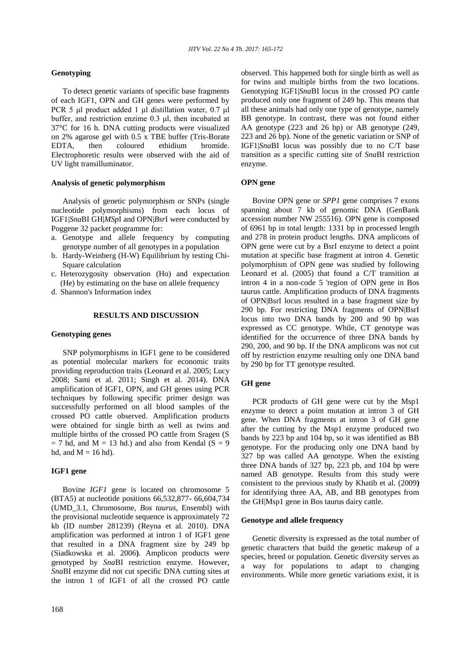## **Genotyping**

To detect genetic variants of specific base fragments of each IGF1, OPN and GH genes were performed by PCR 5 μl product added 1 μl distillation water, 0.7 μl buffer, and restriction enzime 0.3 μl, then incubated at 37°C for 16 h. DNA cutting products were visualized on 2% agarose gel with 0.5 x TBE buffer (Tris-Borate EDTA, then coloured ethidium bromide. Electrophoretic results were observed with the aid of UV light transilluminator.

## **Analysis of genetic polymorphism**

Analysis of genetic polymorphism or SNPs (single nucleotide polymorphisms) from each locus of IGF1|*Sna*BI GH|*MSp*I and OPN|*Bsr*I were conducted by Poggene 32 packet programme for:

- a. Genotype and allele frequency by computing genotype number of all genotypes in a population
- b. Hardy-Weinberg (H-W) Equilibrium by testing Chi-Square calculation
- c. Heterozygosity observation (Ho) and expectation (He) by estimating on the base on allele frequency
- d. Shannon's Information index

## **RESULTS AND DISCUSSION**

#### **Genotyping genes**

SNP polymorphisms in IGF1 gene to be considered as potential molecular markers for economic traits providing reproduction traits (Leonard et al. 2005; Lucy 2008; Sami et al. 2011; Singh et al*.* 2014). DNA amplification of IGF1, OPN, and GH genes using PCR techniques by following specific primer design was successfully performed on all blood samples of the crossed PO cattle observed. Amplification products were obtained for single birth as well as twins and multiple births of the crossed PO cattle from Sragen (S  $= 7$  hd, and M  $= 13$  hd.) and also from Kendal (S  $= 9$ ) hd, and  $M = 16$  hd).

## **IGF1 gene**

Bovine *IGF1* gene is located on chromosome 5 (BTA5) at nucleotide positions 66,532,877- 66,604,734 (UMD\_3.1, Chromosome, *Bos taurus*, Ensembl) with the provisional nucleotide sequence is approximately 72 kb (ID number 281239) (Reyna et al*.* 2010). DNA amplification was performed at intron 1 of IGF1 gene that resulted in a DNA fragment size by 249 bp (Siadkowska et al. 2006**)**. Amplicon products were genotyped by *Sna*BI restriction enzyme. However, *Sna*BI enzyme did not cut specific DNA cutting sites at the intron 1 of IGF1 of all the crossed PO cattle observed. This happened both for single birth as well as for twins and multiple births from the two locations. Genotyping IGF1|*Sna*BI locus in the crossed PO cattle produced only one fragment of 249 bp. This means that all these animals had only one type of genotype, namely BB genotype. In contrast, there was not found either AA genotype (223 and 26 bp) or AB genotype (249, 223 and 26 bp). None of the genetic variation or SNP of IGF1|*Sna*BI locus was possibly due to no C/T base transition as a specific cutting site of *Sna*BI restriction enzyme.

## **OPN gene**

Bovine OPN gene or *SPP1* gene comprises 7 exons spanning about 7 kb of genomic DNA (GenBank accession number NW 255516). OPN gene is composed of 6961 bp in total length: 1331 bp in processed length and 278 in protein product lengths. DNA amplicons of OPN gene were cut by a BsrI enzyme to detect a point mutation at specific base fragment at intron 4. Genetic polymorphism of OPN gene was studied by following Leonard et al. (2005) that found a C/T transition at intron 4 in a non-code 5 'region of OPN gene in Bos taurus cattle. Amplification products of DNA fragments of OPN|BsrI locus resulted in a base fragment size by 290 bp. For restricting DNA fragments of OPN|BsrI locus into two DNA bands by 200 and 90 bp was expressed as CC genotype. While, CT genotype was identified for the occurrence of three DNA bands by 290, 200, and 90 bp. If the DNA amplicons was not cut off by restriction enzyme resulting only one DNA band by 290 bp for TT genotype resulted.

## **GH gene**

PCR products of GH gene were cut by the Msp1 enzyme to detect a point mutation at intron 3 of GH gene. When DNA fragments at intron 3 of GH gene after the cutting by the Msp1 enzyme produced two bands by 223 bp and 104 bp, so it was identified as BB genotype. For the producing only one DNA band by 327 bp was called AA genotype. When the existing three DNA bands of 327 bp, 223 pb, and 104 bp were named AB genotype. Results from this study were consistent to the previous study by Khatib et al. (2009**)** for identifying three AA, AB, and BB genotypes from the GH|Msp1 gene in Bos taurus dairy cattle.

#### **Genotype and allele frequency**

Genetic diversity is expressed as the total number of genetic characters that build the genetic makeup of a species, breed or population. Genetic diversity serves as a way for populations to adapt to changing environments. While more genetic variations exist, it is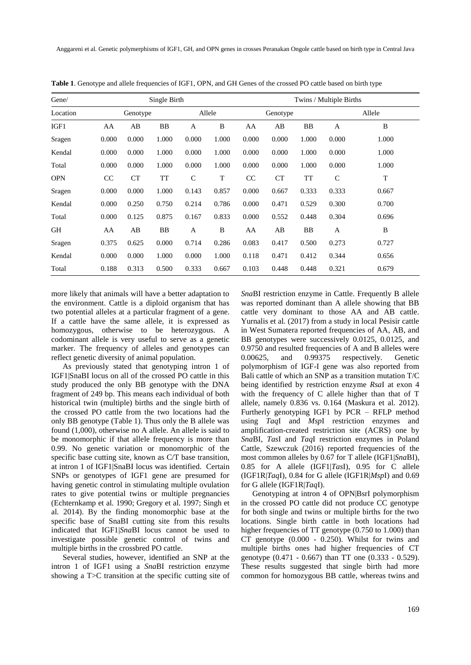Anggareni et al. Genetic polymerphisms of IGF1, GH, and OPN genes in crosses Peranakan Ongole cattle based on birth type in Central Java

| Gene/      | Single Birth |       |        |              | Twins / Multiple Births |       |           |        |             |       |
|------------|--------------|-------|--------|--------------|-------------------------|-------|-----------|--------|-------------|-------|
| Location   | Genotype     |       | Allele |              | Genotype                |       |           | Allele |             |       |
| IGF1       | AA           | AВ    | BB     | A            | B                       | AA    | AB        | BB     | A           | B     |
| Sragen     | 0.000        | 0.000 | 1.000  | 0.000        | 1.000                   | 0.000 | 0.000     | 1.000  | 0.000       | 1.000 |
| Kendal     | 0.000        | 0.000 | 1.000  | 0.000        | 1.000                   | 0.000 | 0.000     | 1.000  | 0.000       | 1.000 |
| Total      | 0.000        | 0.000 | 1.000  | 0.000        | 1.000                   | 0.000 | 0.000     | 1.000  | 0.000       | 1.000 |
| <b>OPN</b> | CC           | CT    | TT     | $\mathsf{C}$ | T                       | CC    | <b>CT</b> | TT     | $\mathbf C$ | T     |
| Sragen     | 0.000        | 0.000 | 1.000  | 0.143        | 0.857                   | 0.000 | 0.667     | 0.333  | 0.333       | 0.667 |
| Kendal     | 0.000        | 0.250 | 0.750  | 0.214        | 0.786                   | 0.000 | 0.471     | 0.529  | 0.300       | 0.700 |
| Total      | 0.000        | 0.125 | 0.875  | 0.167        | 0.833                   | 0.000 | 0.552     | 0.448  | 0.304       | 0.696 |
| GH         | AA           | AB    | BB     | A            | B                       | AA    | AB        | BB     | A           | B     |
| Sragen     | 0.375        | 0.625 | 0.000  | 0.714        | 0.286                   | 0.083 | 0.417     | 0.500  | 0.273       | 0.727 |
| Kendal     | 0.000        | 0.000 | 1.000  | 0.000        | 1.000                   | 0.118 | 0.471     | 0.412  | 0.344       | 0.656 |
| Total      | 0.188        | 0.313 | 0.500  | 0.333        | 0.667                   | 0.103 | 0.448     | 0.448  | 0.321       | 0.679 |

**Table 1**. Genotype and allele frequencies of IGF1, OPN, and GH Genes of the crossed PO cattle based on birth type

more likely that animals will have a better adaptation to the environment. Cattle is a diploid organism that has two potential alleles at a particular fragment of a gene. If a cattle have the same allele, it is expressed as homozygous, otherwise to be heterozygous. A codominant allele is very useful to serve as a genetic marker. The frequency of alleles and genotypes can reflect genetic diversity of animal population.

As previously stated that genotyping intron 1 of IGF1|SnaBI locus on all of the crossed PO cattle in this study produced the only BB genotype with the DNA fragment of 249 bp. This means each individual of both historical twin (multiple) births and the single birth of the crossed PO cattle from the two locations had the only BB genotype (Table 1). Thus only the B allele was found (1,000), otherwise no A allele. An allele is said to be monomorphic if that allele frequency is more than 0.99. No genetic variation or monomorphic of the specific base cutting site, known as C/T base transition, at intron 1 of IGF1|SnaBI locus was identified. Certain SNPs or genotypes of IGF1 gene are presumed for having genetic control in stimulating multiple ovulation rates to give potential twins or multiple pregnancies (Echternkamp et al*.* 1990; Gregory et al. 1997; Singh et al*.* 2014). By the finding monomorphic base at the specific base of SnaBI cutting site from this results indicated that IGF1|*Sna*BI locus cannot be used to investigate possible genetic control of twins and multiple births in the crossbred PO cattle.

Several studies, however, identified an SNP at the intron 1 of IGF1 using a *Sna*BI restriction enzyme showing a T>C transition at the specific cutting site of *Sna*BI restriction enzyme in Cattle. Frequently B allele was reported dominant than A allele showing that BB cattle very dominant to those AA and AB cattle. Yurnalis et al*.* (2017) from a study in local Pesisir cattle in West Sumatera reported frequencies of AA, AB, and BB genotypes were successively 0.0125, 0.0125, and 0.9750 and resulted frequencies of A and B alleles were<br>0.00625, and 0.99375 respectively. Genetic 0.00625, and 0.99375 respectively. Genetic polymorphism of IGF-I gene was also reported from Bali cattle of which an SNP as a transition mutation T/C being identified by restriction enzyme *Rsa*I at exon 4 with the frequency of C allele higher than that of T allele, namely 0.836 vs. 0.164 (Maskura et al. 2012). Furtherly genotyping IGF1 by PCR – RFLP method using *Taq*I and *Msp*I restriction enzymes and amplification-created restriction site (ACRS) one by *Sna*BI, *Tas*I and *Taq*I restriction enzymes in Poland Cattle, Szewczuk (2016) reported frequencies of the most common alleles by 0.67 for T allele (IGF1|*Sna*BI), 0.85 for A allele (IGF1|*Tas*I), 0.95 for C allele (IGF1R|*Taq*I), 0.84 for G allele (IGF1R|*Msp*I) and 0.69 for G allele (IGF1R|*Taq*I).

Genotyping at intron 4 of OPN|BsrI polymorphism in the crossed PO cattle did not produce CC genotype for both single and twins or multiple births for the two locations. Single birth cattle in both locations had higher frequencies of TT genotype (0.750 to 1.000) than CT genotype (0.000 - 0.250). Whilst for twins and multiple births ones had higher frequencies of CT genotype (0.471 - 0.667) than TT one (0.333 - 0.529). These results suggested that single birth had more common for homozygous BB cattle, whereas twins and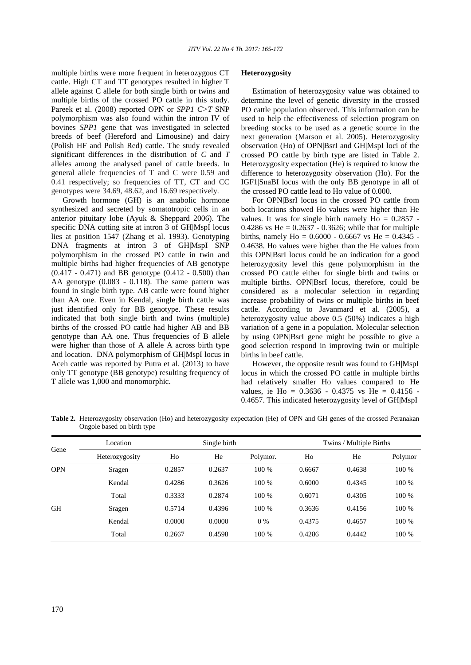multiple births were more frequent in heterozygous CT cattle. High CT and TT genotypes resulted in higher T allele against C allele for both single birth or twins and multiple births of the crossed PO cattle in this study. Pareek et al. (2008) reported OPN or *SPP1 C>T* SNP polymorphism was also found within the intron IV of bovines *SPP1* gene that was investigated in selected breeds of beef (Hereford and Limousine) and dairy (Polish HF and Polish Red) cattle. The study revealed significant differences in the distribution of *C* and *T*  alleles among the analysed panel of cattle breeds. In general allele frequencies of T and C were 0.59 and 0.41 respectively; so frequencies of TT, CT and CC genotypes were 34.69, 48.62, and 16.69 respectively.

Growth hormone (GH) is an anabolic hormone synthesized and secreted by somatotropic cells in an anterior pituitary lobe (Ayuk & Sheppard 2006). The specific DNA cutting site at intron 3 of GH|MspI locus lies at position 1547 (Zhang et al. 1993). Genotyping DNA fragments at intron 3 of GH|MspI SNP polymorphism in the crossed PO cattle in twin and multiple births had higher frequencies of AB genotype (0.417 - 0.471) and BB genotype (0.412 - 0.500) than AA genotype (0.083 - 0.118). The same pattern was found in single birth type. AB cattle were found higher than AA one. Even in Kendal, single birth cattle was just identified only for BB genotype. These results indicated that both single birth and twins (multiple) births of the crossed PO cattle had higher AB and BB genotype than AA one. Thus frequencies of B allele were higher than those of A allele A across birth type and location. DNA polymorphism of GH|MspI locus in Aceh cattle was reported by Putra et al. (2013) to have only TT genotype (BB genotype) resulting frequency of T allele was 1,000 and monomorphic.

## **Heterozygosity**

Estimation of heterozygosity value was obtained to determine the level of genetic diversity in the crossed PO cattle population observed. This information can be used to help the effectiveness of selection program on breeding stocks to be used as a genetic source in the next generation (Marson et al. 2005). Heterozygosity observation (Ho) of OPN|BsrI and GH|MspI loci of the crossed PO cattle by birth type are listed in Table 2. Heterozygosity expectation (He) is required to know the difference to heterozygosity observation (Ho). For the IGF1|SnaBI locus with the only BB genotype in all of the crossed PO cattle lead to Ho value of 0.000.

For OPN|BsrI locus in the crossed PO cattle from both locations showed Ho values were higher than He values. It was for single birth namely  $Ho = 0.2857$  -0.4286 vs He =  $0.2637 - 0.3626$ ; while that for multiple births, namely  $Ho = 0.6000 - 0.6667$  vs  $He = 0.4345$  -0.4638. Ho values were higher than the He values from this OPN|BsrI locus could be an indication for a good heterozygosity level this gene polymorphism in the crossed PO cattle either for single birth and twins or multiple births. OPN|BsrI locus, therefore, could be considered as a molecular selection in regarding increase probability of twins or multiple births in beef cattle. According to Javanmard et al. (2005), a heterozygosity value above 0.5 (50%) indicates a high variation of a gene in a population. Molecular selection by using OPN|BsrI gene might be possible to give a good selection respond in improving twin or multiple births in beef cattle.

However, the opposite result was found to GH|MspI locus in which the crossed PO cattle in multiple births had relatively smaller Ho values compared to He values, ie Ho = 0.3636 - 0.4375 vs He = 0.4156 - 0.4657. This indicated heterozygosity level of GH|MspI

**Table 2.** Heterozygosity observation (Ho) and heterozygosity expectation (He) of OPN and GH genes of the crossed Peranakan Ongole based on birth type

| Gene       | Location       |        | Single birth |          | Twins / Multiple Births |        |         |  |
|------------|----------------|--------|--------------|----------|-------------------------|--------|---------|--|
|            | Heterozygosity | Ho     | He           | Polymor. | Ho                      | He     | Polymor |  |
| <b>OPN</b> | Sragen         | 0.2857 | 0.2637       | 100 %    | 0.6667                  | 0.4638 | 100 %   |  |
|            | Kendal         | 0.4286 | 0.3626       | 100 %    | 0.6000                  | 0.4345 | 100 %   |  |
|            | Total          | 0.3333 | 0.2874       | 100 %    | 0.6071                  | 0.4305 | 100 %   |  |
| <b>GH</b>  | Sragen         | 0.5714 | 0.4396       | 100 %    | 0.3636                  | 0.4156 | 100 %   |  |
|            | Kendal         | 0.0000 | 0.0000       | $0\%$    | 0.4375                  | 0.4657 | 100 %   |  |
|            | Total          | 0.2667 | 0.4598       | 100 %    | 0.4286                  | 0.4442 | 100 %   |  |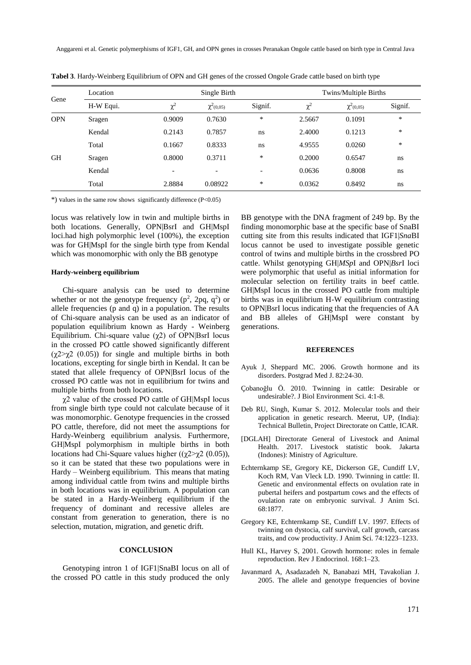Anggareni et al. Genetic polymerphisms of IGF1, GH, and OPN genes in crosses Peranakan Ongole cattle based on birth type in Central Java

| Gene       | Location  |                          | Single Birth             |                          | Twins/Multiple Births |                |         |  |
|------------|-----------|--------------------------|--------------------------|--------------------------|-----------------------|----------------|---------|--|
|            | H-W Equi. | $\chi^2$                 | $\chi^2(0,05)$           | Signif.                  | $\chi^2$              | $\chi^2(0.05)$ | Signif. |  |
| <b>OPN</b> | Sragen    | 0.9009                   | 0.7630                   | *                        | 2.5667                | 0.1091         | *       |  |
|            | Kendal    | 0.2143                   | 0.7857                   | ns                       | 2.4000                | 0.1213         | *       |  |
|            | Total     | 0.1667                   | 0.8333                   | ns                       | 4.9555                | 0.0260         | *       |  |
| <b>GH</b>  | Sragen    | 0.8000                   | 0.3711                   | *                        | 0.2000                | 0.6547         | ns      |  |
|            | Kendal    | $\overline{\phantom{0}}$ | $\overline{\phantom{0}}$ | $\overline{\phantom{a}}$ | 0.0636                | 0.8008         | ns      |  |
|            | Total     | 2.8884                   | 0.08922                  | *                        | 0.0362                | 0.8492         | ns      |  |

**Tabel 3**. Hardy-Weinberg Equilibrium of OPN and GH genes of the crossed Ongole Grade cattle based on birth type

\*) values in the same row shows significantly difference (P<0.05)

locus was relatively low in twin and multiple births in both locations. Generally, OPN|BsrI and GH|MspI loci.had high polymorphic level (100%), the exception was for GH|MspI for the single birth type from Kendal which was monomorphic with only the BB genotype

## **Hardy-weinberg equilibrium**

Chi-square analysis can be used to determine whether or not the genotype frequency  $(p^2, 2pq, q^2)$  or allele frequencies (p and q) in a population. The results of Chi-square analysis can be used as an indicator of population equilibrium known as Hardy - Weinberg Equilibrium. Chi-square value (χ2) of OPN|BsrI locus in the crossed PO cattle showed significantly different  $(\chi^2 > \chi^2 \ (0.05))$  for single and multiple births in both locations, excepting for single birth in Kendal. It can be stated that allele frequency of OPN|BsrI locus of the crossed PO cattle was not in equilibrium for twins and multiple births from both locations.

χ2 value of the crossed PO cattle of GH|MspI locus from single birth type could not calculate because of it was monomorphic. Genotype frequencies in the crossed PO cattle, therefore, did not meet the assumptions for Hardy-Weinberg equilibrium analysis. Furthermore, GH|MspI polymorphism in multiple births in both locations had Chi-Square values higher ( $(\gamma 2 > \gamma 2 (0.05))$ , so it can be stated that these two populations were in Hardy – Weinberg equilibrium. This means that mating among individual cattle from twins and multiple births in both locations was in equilibrium. A population can be stated in a Hardy-Weinberg equilibrium if the frequency of dominant and recessive alleles are constant from generation to generation, there is no selection, mutation, migration, and genetic drift.

## **CONCLUSION**

Genotyping intron 1 of IGF1|SnaBI locus on all of the crossed PO cattle in this study produced the only BB genotype with the DNA fragment of 249 bp. By the finding monomorphic base at the specific base of SnaBI cutting site from this results indicated that IGF1|*Sna*BI locus cannot be used to investigate possible genetic control of twins and multiple births in the crossbred PO cattle. Whilst genotyping GH|*MSp*I and OPN|*Bsr*I loci were polymorphic that useful as initial information for molecular selection on fertility traits in beef cattle. GH|MspI locus in the crossed PO cattle from multiple births was in equilibrium H-W equilibrium contrasting to OPN|BsrI locus indicating that the frequencies of AA and BB alleles of GH|MspI were constant by generations.

#### **REFERENCES**

- Ayuk J, Sheppard MC. 2006. Growth hormone and its disorders. Postgrad Med J. 82:24-30.
- Çobanoğlu Ö. 2010. Twinning in cattle: Desirable or undesirable?. J Biol Environment Sci. 4:1-8.
- Deb RU, Singh, Kumar S. 2012. Molecular tools and their application in genetic research. Meerut, UP, (India): Technical Bulletin, Project Directorate on Cattle, ICAR.
- [DGLAH] Directorate General of Livestock and Animal Health. 2017. Livestock statistic book. Jakarta (Indones): Ministry of Agriculture.
- Echternkamp SE, Gregory KE, Dickerson GE, Cundiff LV, Koch RM, Van Vleck LD. 1990. Twinning in cattle: II. Genetic and environmental effects on ovulation rate in pubertal heifers and postpartum cows and the effects of ovulation rate on embryonic survival. J Anim Sci. 68:1877.
- Gregory KE, Echternkamp SE, Cundiff LV. 1997. Effects of twinning on dystocia, calf survival, calf growth, carcass traits, and cow productivity. J Anim Sci. 74:1223–1233.
- Hull KL, Harvey S, 2001. Growth hormone: roles in female reproduction. Rev J Endocrinol. 168:1–23.
- Javanmard A, Asadazadeh N, Banabazi MH, Tavakolian J. 2005. The allele and genotype frequencies of bovine